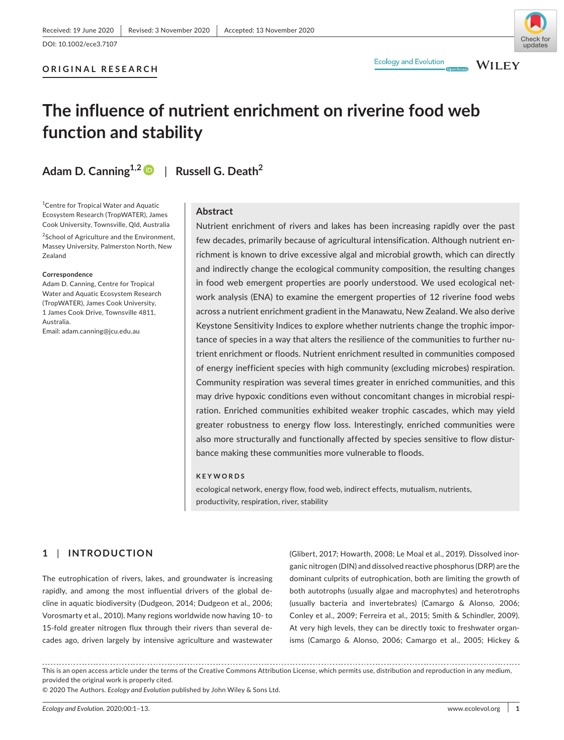## **ORIGINAL RESEARCH**

# **Ecology and Evolution**

**WILEY** 

# **The influence of nutrient enrichment on riverine food web function and stability**

**Adam D. Canning1,[2](https://orcid.org/0000-0001-8813-2240)** | **Russell G. Death2**

<sup>1</sup> Centre for Tropical Water and Aquatic Ecosystem Research (TropWATER), James Cook University, Townsville, Qld, Australia

<sup>2</sup>School of Agriculture and the Environment, Massey University, Palmerston North, New Zealand

#### **Correspondence**

Adam D. Canning, Centre for Tropical Water and Aquatic Ecosystem Research (TropWATER), James Cook University, 1 James Cook Drive, Townsville 4811, Australia. Email: [adam.canning@jcu.edu.au](mailto:adam.canning@jcu.edu.au)

#### **Abstract**

Nutrient enrichment of rivers and lakes has been increasing rapidly over the past few decades, primarily because of agricultural intensification. Although nutrient enrichment is known to drive excessive algal and microbial growth, which can directly and indirectly change the ecological community composition, the resulting changes in food web emergent properties are poorly understood. We used ecological network analysis (ENA) to examine the emergent properties of 12 riverine food webs across a nutrient enrichment gradient in the Manawatu, New Zealand. We also derive Keystone Sensitivity Indices to explore whether nutrients change the trophic importance of species in a way that alters the resilience of the communities to further nutrient enrichment or floods. Nutrient enrichment resulted in communities composed of energy inefficient species with high community (excluding microbes) respiration. Community respiration was several times greater in enriched communities, and this may drive hypoxic conditions even without concomitant changes in microbial respiration. Enriched communities exhibited weaker trophic cascades, which may yield greater robustness to energy flow loss. Interestingly, enriched communities were also more structurally and functionally affected by species sensitive to flow disturbance making these communities more vulnerable to floods.

#### **KEYWORDS**

ecological network, energy flow, food web, indirect effects, mutualism, nutrients, productivity, respiration, river, stability

# **1** | **INTRODUCTION**

The eutrophication of rivers, lakes, and groundwater is increasing rapidly, and among the most influential drivers of the global decline in aquatic biodiversity (Dudgeon, 2014; Dudgeon et al., 2006; Vorosmarty et al., 2010). Many regions worldwide now having 10- to 15-fold greater nitrogen flux through their rivers than several decades ago, driven largely by intensive agriculture and wastewater (Glibert, 2017; Howarth, 2008; Le Moal et al., 2019). Dissolved inorganic nitrogen (DIN) and dissolved reactive phosphorus (DRP) are the dominant culprits of eutrophication, both are limiting the growth of both autotrophs (usually algae and macrophytes) and heterotrophs (usually bacteria and invertebrates) (Camargo & Alonso, 2006; Conley et al., 2009; Ferreira et al., 2015; Smith & Schindler, 2009). At very high levels, they can be directly toxic to freshwater organisms (Camargo & Alonso, 2006; Camargo et al., 2005; Hickey &

© 2020 The Authors. *Ecology and Evolution* published by John Wiley & Sons Ltd.

This is an open access article under the terms of the [Creative Commons Attribution](http://creativecommons.org/licenses/by/4.0/) License, which permits use, distribution and reproduction in any medium, provided the original work is properly cited.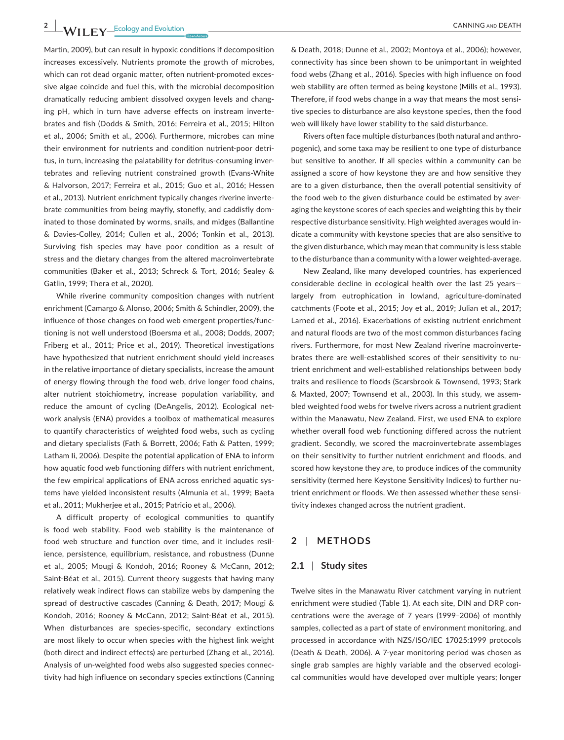Martin, 2009), but can result in hypoxic conditions if decomposition increases excessively. Nutrients promote the growth of microbes, which can rot dead organic matter, often nutrient-promoted excessive algae coincide and fuel this, with the microbial decomposition dramatically reducing ambient dissolved oxygen levels and changing pH, which in turn have adverse effects on instream invertebrates and fish (Dodds & Smith, 2016; Ferreira et al., 2015; Hilton et al., 2006; Smith et al., 2006). Furthermore, microbes can mine their environment for nutrients and condition nutrient-poor detritus, in turn, increasing the palatability for detritus-consuming invertebrates and relieving nutrient constrained growth (Evans-White & Halvorson, 2017; Ferreira et al., 2015; Guo et al., 2016; Hessen et al., 2013). Nutrient enrichment typically changes riverine invertebrate communities from being mayfly, stonefly, and caddisfly dominated to those dominated by worms, snails, and midges (Ballantine & Davies-Colley, 2014; Cullen et al., 2006; Tonkin et al., 2013). Surviving fish species may have poor condition as a result of stress and the dietary changes from the altered macroinvertebrate communities (Baker et al., 2013; Schreck & Tort, 2016; Sealey & Gatlin, 1999; Thera et al., 2020).

While riverine community composition changes with nutrient enrichment (Camargo & Alonso, 2006; Smith & Schindler, 2009), the influence of those changes on food web emergent properties/functioning is not well understood (Boersma et al., 2008; Dodds, 2007; Friberg et al., 2011; Price et al., 2019). Theoretical investigations have hypothesized that nutrient enrichment should yield increases in the relative importance of dietary specialists, increase the amount of energy flowing through the food web, drive longer food chains, alter nutrient stoichiometry, increase population variability, and reduce the amount of cycling (DeAngelis, 2012). Ecological network analysis (ENA) provides a toolbox of mathematical measures to quantify characteristics of weighted food webs, such as cycling and dietary specialists (Fath & Borrett, 2006; Fath & Patten, 1999; Latham Ii, 2006). Despite the potential application of ENA to inform how aquatic food web functioning differs with nutrient enrichment, the few empirical applications of ENA across enriched aquatic systems have yielded inconsistent results (Almunia et al., 1999; Baeta et al., 2011; Mukherjee et al., 2015; Patricio et al., 2006).

A difficult property of ecological communities to quantify is food web stability. Food web stability is the maintenance of food web structure and function over time, and it includes resilience, persistence, equilibrium, resistance, and robustness (Dunne et al., 2005; Mougi & Kondoh, 2016; Rooney & McCann, 2012; Saint-Béat et al., 2015). Current theory suggests that having many relatively weak indirect flows can stabilize webs by dampening the spread of destructive cascades (Canning & Death, 2017; Mougi & Kondoh, 2016; Rooney & McCann, 2012; Saint-Béat et al., 2015). When disturbances are species-specific, secondary extinctions are most likely to occur when species with the highest link weight (both direct and indirect effects) are perturbed (Zhang et al., 2016). Analysis of un-weighted food webs also suggested species connectivity had high influence on secondary species extinctions (Canning

& Death, 2018; Dunne et al., 2002; Montoya et al., 2006); however, connectivity has since been shown to be unimportant in weighted food webs (Zhang et al., 2016). Species with high influence on food web stability are often termed as being keystone (Mills et al., 1993). Therefore, if food webs change in a way that means the most sensitive species to disturbance are also keystone species, then the food web will likely have lower stability to the said disturbance.

Rivers often face multiple disturbances (both natural and anthropogenic), and some taxa may be resilient to one type of disturbance but sensitive to another. If all species within a community can be assigned a score of how keystone they are and how sensitive they are to a given disturbance, then the overall potential sensitivity of the food web to the given disturbance could be estimated by averaging the keystone scores of each species and weighting this by their respective disturbance sensitivity. High weighted averages would indicate a community with keystone species that are also sensitive to the given disturbance, which may mean that community is less stable to the disturbance than a community with a lower weighted-average.

New Zealand, like many developed countries, has experienced considerable decline in ecological health over the last 25 years largely from eutrophication in lowland, agriculture-dominated catchments (Foote et al., 2015; Joy et al., 2019; Julian et al., 2017; Larned et al., 2016). Exacerbations of existing nutrient enrichment and natural floods are two of the most common disturbances facing rivers. Furthermore, for most New Zealand riverine macroinvertebrates there are well-established scores of their sensitivity to nutrient enrichment and well-established relationships between body traits and resilience to floods (Scarsbrook & Townsend, 1993; Stark & Maxted, 2007; Townsend et al., 2003). In this study, we assembled weighted food webs for twelve rivers across a nutrient gradient within the Manawatu, New Zealand. First, we used ENA to explore whether overall food web functioning differed across the nutrient gradient. Secondly, we scored the macroinvertebrate assemblages on their sensitivity to further nutrient enrichment and floods, and scored how keystone they are, to produce indices of the community sensitivity (termed here Keystone Sensitivity Indices) to further nutrient enrichment or floods. We then assessed whether these sensitivity indexes changed across the nutrient gradient.

# **2** | **METHODS**

#### **2.1** | **Study sites**

Twelve sites in the Manawatu River catchment varying in nutrient enrichment were studied (Table 1). At each site, DIN and DRP concentrations were the average of 7 years (1999–2006) of monthly samples, collected as a part of state of environment monitoring, and processed in accordance with NZS/ISO/IEC 17025:1999 protocols (Death & Death, 2006). A 7-year monitoring period was chosen as single grab samples are highly variable and the observed ecological communities would have developed over multiple years; longer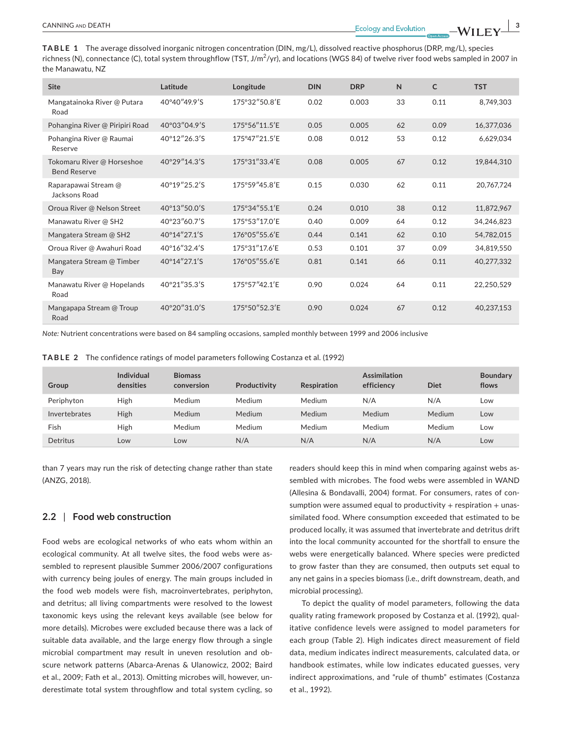**TABLE 1** The average dissolved inorganic nitrogen concentration (DIN, mg/L), dissolved reactive phosphorus (DRP, mg/L), species richness (N), connectance (C), total system throughflow (TST, J/m $^2$ /yr), and locations (WGS 84) of twelve river food webs sampled in 2007 in the Manawatu, NZ

| <b>Site</b>                                       | Latitude     | Longitude     | <b>DIN</b> | <b>DRP</b> | $\mathsf{N}$ | $\mathsf{C}$ | <b>TST</b> |
|---------------------------------------------------|--------------|---------------|------------|------------|--------------|--------------|------------|
| Mangatainoka River @ Putara<br>Road               | 40°40″49.9'S | 175°32"50.8'E | 0.02       | 0.003      | 33           | 0.11         | 8,749,303  |
| Pohangina River @ Piripiri Road                   | 40°03″04.9'S | 175°56"11.5'E | 0.05       | 0.005      | 62           | 0.09         | 16,377,036 |
| Pohangina River @ Raumai<br>Reserve               | 40°12″26.3'S | 175°47"21.5'E | 0.08       | 0.012      | 53           | 0.12         | 6,629,034  |
| Tokomaru River @ Horseshoe<br><b>Bend Reserve</b> | 40°29″14.3'S | 175°31″33.4'E | 0.08       | 0.005      | 67           | 0.12         | 19,844,310 |
| Raparapawai Stream @<br>Jacksons Road             | 40°19"25.2'S | 175°59"45.8'E | 0.15       | 0.030      | 62           | 0.11         | 20,767,724 |
| Oroua River @ Nelson Street                       | 40°13"50.0'S | 175°34"55.1'E | 0.24       | 0.010      | 38           | 0.12         | 11,872,967 |
| Manawatu River @ SH2                              | 40°23"60.7'S | 175°53″17.0'E | 0.40       | 0.009      | 64           | 0.12         | 34,246,823 |
| Mangatera Stream @ SH2                            | 40°14″27.1'S | 176°05"55.6'E | 0.44       | 0.141      | 62           | 0.10         | 54,782,015 |
| Oroua River @ Awahuri Road                        | 40°16"32.4'S | 175°31"17.6'E | 0.53       | 0.101      | 37           | 0.09         | 34,819,550 |
| Mangatera Stream @ Timber<br>Bay                  | 40°14″27.1'S | 176°05"55.6'E | 0.81       | 0.141      | 66           | 0.11         | 40,277,332 |
| Manawatu River @ Hopelands<br>Road                | 40°21″35.3'S | 175°57″42.1'E | 0.90       | 0.024      | 64           | 0.11         | 22,250,529 |
| Mangapapa Stream @ Troup<br>Road                  | 40°20"31.0'S | 175°50"52.3'E | 0.90       | 0.024      | 67           | 0.12         | 40,237,153 |

*Note:* Nutrient concentrations were based on 84 sampling occasions, sampled monthly between 1999 and 2006 inclusive

|  |  | <b>TABLE 2</b> The confidence ratings of model parameters following Costanza et al. (1992) |  |  |  |  |  |
|--|--|--------------------------------------------------------------------------------------------|--|--|--|--|--|
|--|--|--------------------------------------------------------------------------------------------|--|--|--|--|--|

| Group         | Individual<br>densities | <b>Biomass</b><br>conversion | Productivity | <b>Respiration</b> | <b>Assimilation</b><br>efficiency | <b>Diet</b> | <b>Boundary</b><br>flows |
|---------------|-------------------------|------------------------------|--------------|--------------------|-----------------------------------|-------------|--------------------------|
| Periphyton    | High                    | Medium                       | Medium       | Medium             | N/A                               | N/A         | Low                      |
| Invertebrates | High                    | Medium                       | Medium       | Medium             | Medium                            | Medium      | Low                      |
| Fish          | High                    | Medium                       | Medium       | Medium             | Medium                            | Medium      | Low                      |
| Detritus      | Low                     | Low                          | N/A          | N/A                | N/A                               | N/A         | Low                      |

than 7 years may run the risk of detecting change rather than state (ANZG, 2018).

#### **2.2** | **Food web construction**

Food webs are ecological networks of who eats whom within an ecological community. At all twelve sites, the food webs were assembled to represent plausible Summer 2006/2007 configurations with currency being joules of energy. The main groups included in the food web models were fish, macroinvertebrates, periphyton, and detritus; all living compartments were resolved to the lowest taxonomic keys using the relevant keys available (see below for more details). Microbes were excluded because there was a lack of suitable data available, and the large energy flow through a single microbial compartment may result in uneven resolution and obscure network patterns (Abarca-Arenas & Ulanowicz, 2002; Baird et al., 2009; Fath et al., 2013). Omitting microbes will, however, underestimate total system throughflow and total system cycling, so

readers should keep this in mind when comparing against webs assembled with microbes. The food webs were assembled in WAND (Allesina & Bondavalli, 2004) format. For consumers, rates of consumption were assumed equal to productivity  $+$  respiration  $+$  unassimilated food. Where consumption exceeded that estimated to be produced locally, it was assumed that invertebrate and detritus drift into the local community accounted for the shortfall to ensure the webs were energetically balanced. Where species were predicted to grow faster than they are consumed, then outputs set equal to any net gains in a species biomass (i.e., drift downstream, death, and microbial processing).

To depict the quality of model parameters, following the data quality rating framework proposed by Costanza et al. (1992), qualitative confidence levels were assigned to model parameters for each group (Table 2). High indicates direct measurement of field data, medium indicates indirect measurements, calculated data, or handbook estimates, while low indicates educated guesses, very indirect approximations, and "rule of thumb" estimates (Costanza et al., 1992).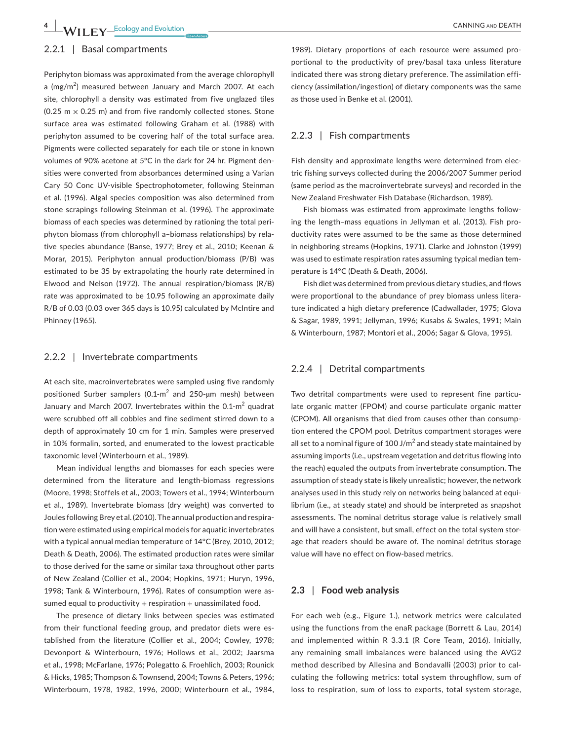**4 WIIFY** Ecology and Evolution **CANNING AND DEATH** 

## 2.2.1 | Basal compartments

Periphyton biomass was approximated from the average chlorophyll a (mg/m<sup>2</sup>) measured between January and March 2007. At each site, chlorophyll a density was estimated from five unglazed tiles  $(0.25 \text{ m} \times 0.25 \text{ m})$  and from five randomly collected stones. Stone surface area was estimated following Graham et al. (1988) with periphyton assumed to be covering half of the total surface area. Pigments were collected separately for each tile or stone in known volumes of 90% acetone at 5°C in the dark for 24 hr. Pigment densities were converted from absorbances determined using a Varian Cary 50 Conc UV-visible Spectrophotometer, following Steinman et al. (1996). Algal species composition was also determined from stone scrapings following Steinman et al. (1996). The approximate biomass of each species was determined by rationing the total periphyton biomass (from chlorophyll a–biomass relationships) by relative species abundance (Banse, 1977; Brey et al., 2010; Keenan & Morar, 2015). Periphyton annual production/biomass (P/B) was estimated to be 35 by extrapolating the hourly rate determined in Elwood and Nelson (1972). The annual respiration/biomass (R/B) rate was approximated to be 10.95 following an approximate daily R/B of 0.03 (0.03 over 365 days is 10.95) calculated by McIntire and Phinney (1965).

## 2.2.2 | Invertebrate compartments

At each site, macroinvertebrates were sampled using five randomly positioned Surber samplers (0.1-m<sup>2</sup> and 250-µm mesh) between January and March 2007. Invertebrates within the 0.1- $m^2$  quadrat were scrubbed off all cobbles and fine sediment stirred down to a depth of approximately 10 cm for 1 min. Samples were preserved in 10% formalin, sorted, and enumerated to the lowest practicable taxonomic level (Winterbourn et al., 1989).

Mean individual lengths and biomasses for each species were determined from the literature and length-biomass regressions (Moore, 1998; Stoffels et al., 2003; Towers et al., 1994; Winterbourn et al., 1989). Invertebrate biomass (dry weight) was converted to Joules following Brey et al. (2010). The annual production and respiration were estimated using empirical models for aquatic invertebrates with a typical annual median temperature of 14°C (Brey, 2010, 2012; Death & Death, 2006). The estimated production rates were similar to those derived for the same or similar taxa throughout other parts of New Zealand (Collier et al., 2004; Hopkins, 1971; Huryn, 1996, 1998; Tank & Winterbourn, 1996). Rates of consumption were assumed equal to productivity  $+$  respiration  $+$  unassimilated food.

The presence of dietary links between species was estimated from their functional feeding group, and predator diets were established from the literature (Collier et al., 2004; Cowley, 1978; Devonport & Winterbourn, 1976; Hollows et al., 2002; Jaarsma et al., 1998; McFarlane, 1976; Polegatto & Froehlich, 2003; Rounick & Hicks, 1985; Thompson & Townsend, 2004; Towns & Peters, 1996; Winterbourn, 1978, 1982, 1996, 2000; Winterbourn et al., 1984,

1989). Dietary proportions of each resource were assumed proportional to the productivity of prey/basal taxa unless literature indicated there was strong dietary preference. The assimilation efficiency (assimilation/ingestion) of dietary components was the same as those used in Benke et al. (2001).

### 2.2.3 | Fish compartments

Fish density and approximate lengths were determined from electric fishing surveys collected during the 2006/2007 Summer period (same period as the macroinvertebrate surveys) and recorded in the New Zealand Freshwater Fish Database (Richardson, 1989).

Fish biomass was estimated from approximate lengths following the length–mass equations in Jellyman et al. (2013). Fish productivity rates were assumed to be the same as those determined in neighboring streams (Hopkins, 1971). Clarke and Johnston (1999) was used to estimate respiration rates assuming typical median temperature is 14°C (Death & Death, 2006).

Fish diet was determined from previous dietary studies, and flows were proportional to the abundance of prey biomass unless literature indicated a high dietary preference (Cadwallader, 1975; Glova & Sagar, 1989, 1991; Jellyman, 1996; Kusabs & Swales, 1991; Main & Winterbourn, 1987; Montori et al., 2006; Sagar & Glova, 1995).

#### 2.2.4 | Detrital compartments

Two detrital compartments were used to represent fine particulate organic matter (FPOM) and course particulate organic matter (CPOM). All organisms that died from causes other than consumption entered the CPOM pool. Detritus compartment storages were all set to a nominal figure of 100 J/m $^2$  and steady state maintained by assuming imports (i.e., upstream vegetation and detritus flowing into the reach) equaled the outputs from invertebrate consumption. The assumption of steady state is likely unrealistic; however, the network analyses used in this study rely on networks being balanced at equilibrium (i.e., at steady state) and should be interpreted as snapshot assessments. The nominal detritus storage value is relatively small and will have a consistent, but small, effect on the total system storage that readers should be aware of. The nominal detritus storage value will have no effect on flow-based metrics.

#### **2.3** | **Food web analysis**

For each web (e.g., Figure 1.), network metrics were calculated using the functions from the enaR package (Borrett & Lau, 2014) and implemented within R 3.3.1 (R Core Team, 2016). Initially, any remaining small imbalances were balanced using the AVG2 method described by Allesina and Bondavalli (2003) prior to calculating the following metrics: total system throughflow, sum of loss to respiration, sum of loss to exports, total system storage,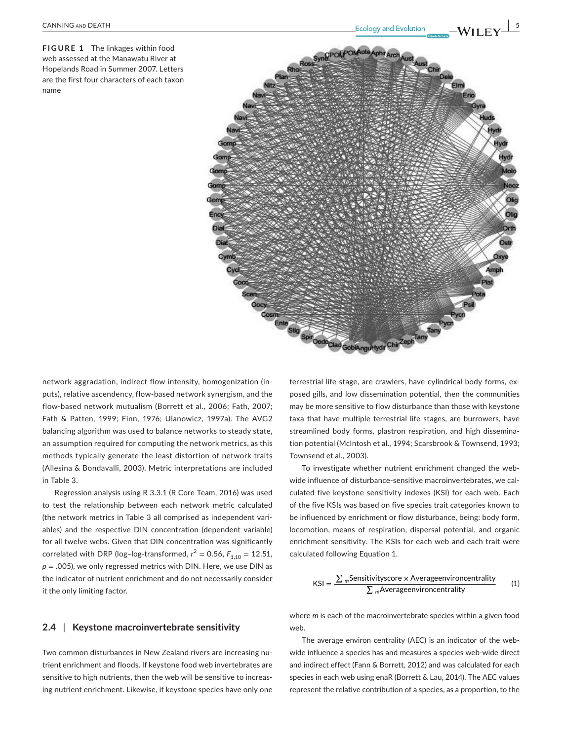**FIGURE 1** The linkages within food web assessed at the Manawatu River at Hopelands Road in Summer 2007. Letters are the first four characters of each taxon name



network aggradation, indirect flow intensity, homogenization (inputs), relative ascendency, flow-based network synergism, and the flow-based network mutualism (Borrett et al., 2006; Fath, 2007; Fath & Patten, 1999; Finn, 1976; Ulanowicz, 1997a). The AVG2 balancing algorithm was used to balance networks to steady state, an assumption required for computing the network metrics, as this methods typically generate the least distortion of network traits (Allesina & Bondavalli, 2003). Metric interpretations are included in Table 3.

Regression analysis using R 3.3.1 (R Core Team, 2016) was used to test the relationship between each network metric calculated (the network metrics in Table 3 all comprised as independent variables) and the respective DIN concentration (dependent variable) for all twelve webs. Given that DIN concentration was significantly correlated with DRP (log-log-transformed,  $r^2 = 0.56$ ,  $F_{1,10} = 12.51$ , *p* = .005), we only regressed metrics with DIN. Here, we use DIN as the indicator of nutrient enrichment and do not necessarily consider it the only limiting factor.

## **2.4** | **Keystone macroinvertebrate sensitivity**

Two common disturbances in New Zealand rivers are increasing nutrient enrichment and floods. If keystone food web invertebrates are sensitive to high nutrients, then the web will be sensitive to increasing nutrient enrichment. Likewise, if keystone species have only one terrestrial life stage, are crawlers, have cylindrical body forms, exposed gills, and low dissemination potential, then the communities may be more sensitive to flow disturbance than those with keystone taxa that have multiple terrestrial life stages, are burrowers, have streamlined body forms, plastron respiration, and high dissemination potential (McIntosh et al., 1994; Scarsbrook & Townsend, 1993; Townsend et al., 2003).

To investigate whether nutrient enrichment changed the webwide influence of disturbance-sensitive macroinvertebrates, we calculated five keystone sensitivity indexes (KSI) for each web. Each of the five KSIs was based on five species trait categories known to be influenced by enrichment or flow disturbance, being: body form, locomotion, means of respiration, dispersal potential, and organic enrichment sensitivity. The KSIs for each web and each trait were calculated following Equation 1.

$$
KSI = \frac{\sum_{m}Sensitivityscore \times Averageenvironmentality}{\sum_{m}Averageenvironmentality}
$$
 (1)

where *m* is each of the macroinvertebrate species within a given food web.

The average environ centrality (AEC) is an indicator of the webwide influence a species has and measures a species web-wide direct and indirect effect (Fann & Borrett, 2012) and was calculated for each species in each web using enaR (Borrett & Lau, 2014). The AEC values represent the relative contribution of a species, as a proportion, to the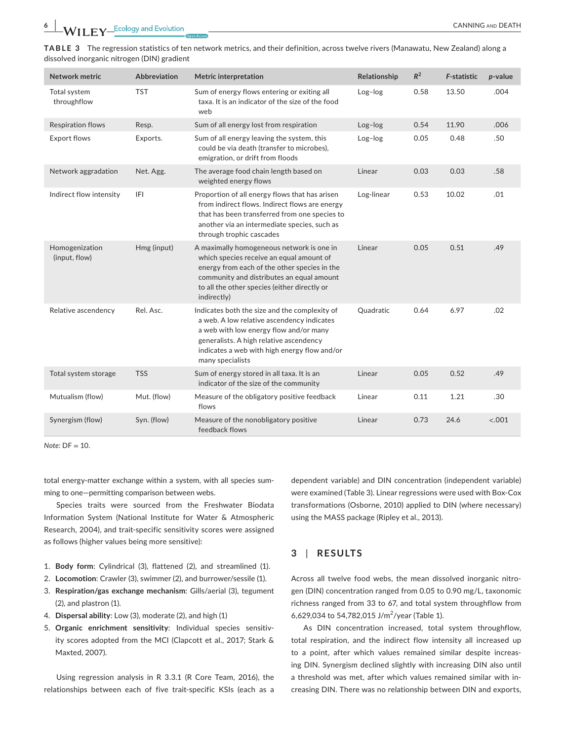**EXAMPLE COLLECTE** CONDUCTION CANNING AND DEATH CANNING AND DEATH CANNING AND DEATH CANNING AND DEATH CONDUCTED AND DEATH

| <b>Network metric</b>           | <b>Abbreviation</b> | <b>Metric interpretation</b>                                                                                                                                                                                                                         | Relationship | $R^2$ | <b>F-statistic</b> | p-value |
|---------------------------------|---------------------|------------------------------------------------------------------------------------------------------------------------------------------------------------------------------------------------------------------------------------------------------|--------------|-------|--------------------|---------|
| Total system<br>throughflow     | <b>TST</b>          | Sum of energy flows entering or exiting all<br>taxa. It is an indicator of the size of the food<br>web                                                                                                                                               | Log-log      | 0.58  | 13.50              | .004    |
| <b>Respiration flows</b>        | Resp.               | Sum of all energy lost from respiration                                                                                                                                                                                                              | Log-log      | 0.54  | 11.90              | .006    |
| <b>Export flows</b>             | Exports.            | Sum of all energy leaving the system, this<br>could be via death (transfer to microbes),<br>emigration, or drift from floods                                                                                                                         | Log-log      | 0.05  | 0.48               | .50     |
| Network aggradation             | Net. Agg.           | The average food chain length based on<br>weighted energy flows                                                                                                                                                                                      | Linear       | 0.03  | 0.03               | .58     |
| Indirect flow intensity         | IFI                 | Proportion of all energy flows that has arisen<br>from indirect flows. Indirect flows are energy<br>that has been transferred from one species to<br>another via an intermediate species, such as<br>through trophic cascades                        | Log-linear   | 0.53  | 10.02              | .01     |
| Homogenization<br>(input, flow) | Hmg (input)         | A maximally homogeneous network is one in<br>which species receive an equal amount of<br>energy from each of the other species in the<br>community and distributes an equal amount<br>to all the other species (either directly or<br>indirectly)    | Linear       | 0.05  | 0.51               | .49     |
| Relative ascendency             | Rel. Asc.           | Indicates both the size and the complexity of<br>a web. A low relative ascendency indicates<br>a web with low energy flow and/or many<br>generalists. A high relative ascendency<br>indicates a web with high energy flow and/or<br>many specialists | Quadratic    | 0.64  | 6.97               | .02     |
| Total system storage            | <b>TSS</b>          | Sum of energy stored in all taxa. It is an<br>indicator of the size of the community                                                                                                                                                                 | Linear       | 0.05  | 0.52               | .49     |
| Mutualism (flow)                | Mut. (flow)         | Measure of the obligatory positive feedback<br>flows                                                                                                                                                                                                 | Linear       | 0.11  | 1.21               | .30     |
| Synergism (flow)                | Syn. (flow)         | Measure of the nonobligatory positive<br>feedback flows                                                                                                                                                                                              | Linear       | 0.73  | 24.6               | < .001  |

**TABLE 3** The regression statistics of ten network metrics, and their definition, across twelve rivers (Manawatu, New Zealand) along a dissolved inorganic nitrogen (DIN) gradient

*Note:* DF = 10.

total energy-matter exchange within a system, with all species summing to one—permitting comparison between webs.

Species traits were sourced from the Freshwater Biodata Information System (National Institute for Water & Atmospheric Research, 2004), and trait-specific sensitivity scores were assigned as follows (higher values being more sensitive):

- 1. **Body form**: Cylindrical (3), flattened (2), and streamlined (1).
- 2. **Locomotion**: Crawler (3), swimmer (2), and burrower/sessile (1).
- 3. **Respiration/gas exchange mechanism**: Gills/aerial (3), tegument (2), and plastron (1).
- 4. **Dispersal ability**: Low (3), moderate (2), and high (1)
- 5. **Organic enrichment sensitivity**: Individual species sensitivity scores adopted from the MCI (Clapcott et al., 2017; Stark & Maxted, 2007).

Using regression analysis in R 3.3.1 (R Core Team, 2016), the relationships between each of five trait-specific KSIs (each as a dependent variable) and DIN concentration (independent variable) were examined (Table 3). Linear regressions were used with Box-Cox transformations (Osborne, 2010) applied to DIN (where necessary) using the MASS package (Ripley et al., 2013).

## **3** | **RESULTS**

Across all twelve food webs, the mean dissolved inorganic nitrogen (DIN) concentration ranged from 0.05 to 0.90 mg/L, taxonomic richness ranged from 33 to 67, and total system throughflow from 6,629,034 to 54,782,015 J/m<sup>2</sup>/year (Table 1).

As DIN concentration increased, total system throughflow, total respiration, and the indirect flow intensity all increased up to a point, after which values remained similar despite increasing DIN. Synergism declined slightly with increasing DIN also until a threshold was met, after which values remained similar with increasing DIN. There was no relationship between DIN and exports,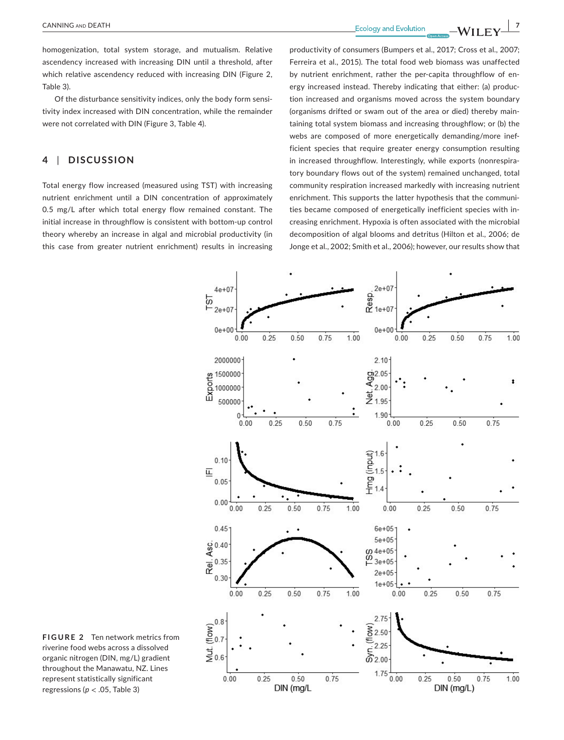**EXAMING AND DEATH** 2

homogenization, total system storage, and mutualism. Relative ascendency increased with increasing DIN until a threshold, after which relative ascendency reduced with increasing DIN (Figure 2, Table 3).

Of the disturbance sensitivity indices, only the body form sensitivity index increased with DIN concentration, while the remainder were not correlated with DIN (Figure 3, Table 4).

# **4** | **DISCUSSION**

Total energy flow increased (measured using TST) with increasing nutrient enrichment until a DIN concentration of approximately 0.5 mg/L after which total energy flow remained constant. The initial increase in throughflow is consistent with bottom-up control theory whereby an increase in algal and microbial productivity (in this case from greater nutrient enrichment) results in increasing productivity of consumers (Bumpers et al., 2017; Cross et al., 2007; Ferreira et al., 2015). The total food web biomass was unaffected by nutrient enrichment, rather the per-capita throughflow of energy increased instead. Thereby indicating that either: (a) production increased and organisms moved across the system boundary (organisms drifted or swam out of the area or died) thereby maintaining total system biomass and increasing throughflow; or (b) the webs are composed of more energetically demanding/more inefficient species that require greater energy consumption resulting in increased throughflow. Interestingly, while exports (nonrespiratory boundary flows out of the system) remained unchanged, total community respiration increased markedly with increasing nutrient enrichment. This supports the latter hypothesis that the communities became composed of energetically inefficient species with increasing enrichment. Hypoxia is often associated with the microbial decomposition of algal blooms and detritus (Hilton et al., 2006; de Jonge et al., 2002; Smith et al., 2006); however, our results show that



**FIGURE 2** Ten network metrics from riverine food webs across a dissolved organic nitrogen (DIN, mg/L) gradient throughout the Manawatu, NZ. Lines represent statistically significant regressions (*p* < .05, Table 3)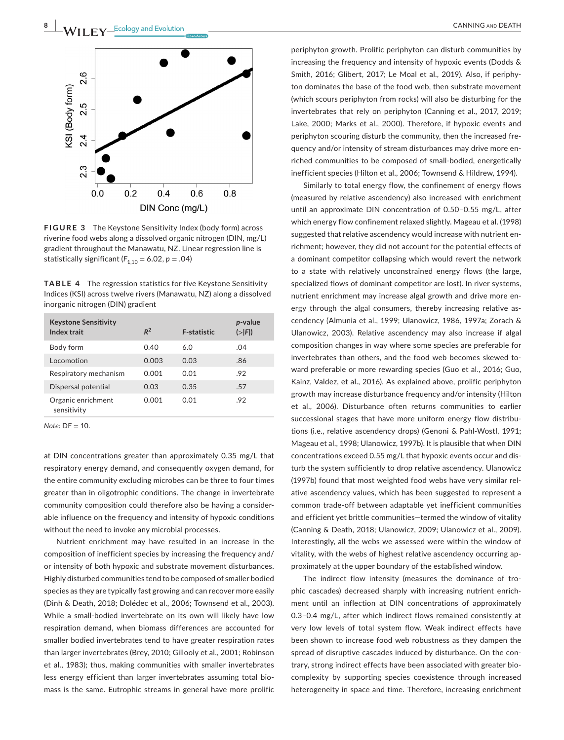

**FIGURE 3** The Keystone Sensitivity Index (body form) across riverine food webs along a dissolved organic nitrogen (DIN, mg/L) gradient throughout the Manawatu, NZ. Linear regression line is statistically significant  $(F_{1,10} = 6.02, p = .04)$ 

**TABLE 4** The regression statistics for five Keystone Sensitivity Indices (KSI) across twelve rivers (Manawatu, NZ) along a dissolved inorganic nitrogen (DIN) gradient

| <b>Keystone Sensitivity</b><br>Index trait | $R^2$ | <b>F-statistic</b> | p-value<br>$(>\vert F \vert)$ |
|--------------------------------------------|-------|--------------------|-------------------------------|
| Body form                                  | 0.40  | 6.0                | .04                           |
| Locomotion                                 | 0.003 | 0.03               | .86                           |
| Respiratory mechanism                      | 0.001 | 0.01               | .92                           |
| Dispersal potential                        | 0.03  | 0.35               | .57                           |
| Organic enrichment<br>sensitivity          | 0.001 | 0.01               | .92                           |

*Note:* DF = 10.

at DIN concentrations greater than approximately 0.35 mg/L that respiratory energy demand, and consequently oxygen demand, for the entire community excluding microbes can be three to four times greater than in oligotrophic conditions. The change in invertebrate community composition could therefore also be having a considerable influence on the frequency and intensity of hypoxic conditions without the need to invoke any microbial processes.

Nutrient enrichment may have resulted in an increase in the composition of inefficient species by increasing the frequency and/ or intensity of both hypoxic and substrate movement disturbances. Highly disturbed communities tend to be composed of smaller bodied species as they are typically fast growing and can recover more easily (Dinh & Death, 2018; Dolédec et al., 2006; Townsend et al., 2003). While a small-bodied invertebrate on its own will likely have low respiration demand, when biomass differences are accounted for smaller bodied invertebrates tend to have greater respiration rates than larger invertebrates (Brey, 2010; Gillooly et al., 2001; Robinson et al., 1983); thus, making communities with smaller invertebrates less energy efficient than larger invertebrates assuming total biomass is the same. Eutrophic streams in general have more prolific

periphyton growth. Prolific periphyton can disturb communities by increasing the frequency and intensity of hypoxic events (Dodds & Smith, 2016; Glibert, 2017; Le Moal et al., 2019). Also, if periphyton dominates the base of the food web, then substrate movement (which scours periphyton from rocks) will also be disturbing for the invertebrates that rely on periphyton (Canning et al., 2017, 2019; Lake, 2000; Marks et al., 2000). Therefore, if hypoxic events and periphyton scouring disturb the community, then the increased frequency and/or intensity of stream disturbances may drive more enriched communities to be composed of small-bodied, energetically inefficient species (Hilton et al., 2006; Townsend & Hildrew, 1994).

Similarly to total energy flow, the confinement of energy flows (measured by relative ascendency) also increased with enrichment until an approximate DIN concentration of 0.50–0.55 mg/L, after which energy flow confinement relaxed slightly. Mageau et al. (1998) suggested that relative ascendency would increase with nutrient enrichment; however, they did not account for the potential effects of a dominant competitor collapsing which would revert the network to a state with relatively unconstrained energy flows (the large, specialized flows of dominant competitor are lost). In river systems, nutrient enrichment may increase algal growth and drive more energy through the algal consumers, thereby increasing relative ascendency (Almunia et al., 1999; Ulanowicz, 1986, 1997a; Zorach & Ulanowicz, 2003). Relative ascendency may also increase if algal composition changes in way where some species are preferable for invertebrates than others, and the food web becomes skewed toward preferable or more rewarding species (Guo et al., 2016; Guo, Kainz, Valdez, et al., 2016). As explained above, prolific periphyton growth may increase disturbance frequency and/or intensity (Hilton et al., 2006). Disturbance often returns communities to earlier successional stages that have more uniform energy flow distributions (i.e., relative ascendency drops) (Genoni & Pahl-Wostl, 1991; Mageau et al., 1998; Ulanowicz, 1997b). It is plausible that when DIN concentrations exceed 0.55 mg/L that hypoxic events occur and disturb the system sufficiently to drop relative ascendency. Ulanowicz (1997b) found that most weighted food webs have very similar relative ascendency values, which has been suggested to represent a common trade-off between adaptable yet inefficient communities and efficient yet brittle communities—termed the window of vitality (Canning & Death, 2018; Ulanowicz, 2009; Ulanowicz et al., 2009). Interestingly, all the webs we assessed were within the window of vitality, with the webs of highest relative ascendency occurring approximately at the upper boundary of the established window.

The indirect flow intensity (measures the dominance of trophic cascades) decreased sharply with increasing nutrient enrichment until an inflection at DIN concentrations of approximately 0.3–0.4 mg/L, after which indirect flows remained consistently at very low levels of total system flow. Weak indirect effects have been shown to increase food web robustness as they dampen the spread of disruptive cascades induced by disturbance. On the contrary, strong indirect effects have been associated with greater biocomplexity by supporting species coexistence through increased heterogeneity in space and time. Therefore, increasing enrichment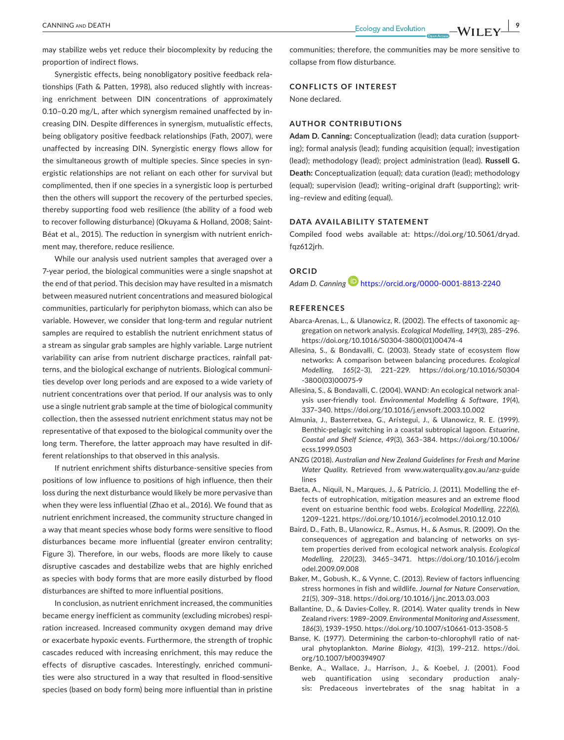may stabilize webs yet reduce their biocomplexity by reducing the proportion of indirect flows.

Synergistic effects, being nonobligatory positive feedback relationships (Fath & Patten, 1998), also reduced slightly with increasing enrichment between DIN concentrations of approximately 0.10–0.20 mg/L, after which synergism remained unaffected by increasing DIN. Despite differences in synergism, mutualistic effects, being obligatory positive feedback relationships (Fath, 2007), were unaffected by increasing DIN. Synergistic energy flows allow for the simultaneous growth of multiple species. Since species in synergistic relationships are not reliant on each other for survival but complimented, then if one species in a synergistic loop is perturbed then the others will support the recovery of the perturbed species, thereby supporting food web resilience (the ability of a food web to recover following disturbance) (Okuyama & Holland, 2008; Saint-Béat et al., 2015). The reduction in synergism with nutrient enrichment may, therefore, reduce resilience.

While our analysis used nutrient samples that averaged over a 7-year period, the biological communities were a single snapshot at the end of that period. This decision may have resulted in a mismatch between measured nutrient concentrations and measured biological communities, particularly for periphyton biomass, which can also be variable. However, we consider that long-term and regular nutrient samples are required to establish the nutrient enrichment status of a stream as singular grab samples are highly variable. Large nutrient variability can arise from nutrient discharge practices, rainfall patterns, and the biological exchange of nutrients. Biological communities develop over long periods and are exposed to a wide variety of nutrient concentrations over that period. If our analysis was to only use a single nutrient grab sample at the time of biological community collection, then the assessed nutrient enrichment status may not be representative of that exposed to the biological community over the long term. Therefore, the latter approach may have resulted in different relationships to that observed in this analysis.

If nutrient enrichment shifts disturbance-sensitive species from positions of low influence to positions of high influence, then their loss during the next disturbance would likely be more pervasive than when they were less influential (Zhao et al., 2016). We found that as nutrient enrichment increased, the community structure changed in a way that meant species whose body forms were sensitive to flood disturbances became more influential (greater environ centrality; Figure 3). Therefore, in our webs, floods are more likely to cause disruptive cascades and destabilize webs that are highly enriched as species with body forms that are more easily disturbed by flood disturbances are shifted to more influential positions.

In conclusion, as nutrient enrichment increased, the communities became energy inefficient as community (excluding microbes) respiration increased. Increased community oxygen demand may drive or exacerbate hypoxic events. Furthermore, the strength of trophic cascades reduced with increasing enrichment, this may reduce the effects of disruptive cascades. Interestingly, enriched communities were also structured in a way that resulted in flood-sensitive species (based on body form) being more influential than in pristine

communities; therefore, the communities may be more sensitive to collapse from flow disturbance.

#### **CONFLICTS OF INTEREST**

None declared.

## **AUTHOR CONTRIBUTIONS**

**Adam D. Canning:** Conceptualization (lead); data curation (supporting); formal analysis (lead); funding acquisition (equal); investigation (lead); methodology (lead); project administration (lead). **Russell G. Death:** Conceptualization (equal); data curation (lead); methodology (equal); supervision (lead); writing–original draft (supporting); writing–review and editing (equal).

## **DATA AVAILABILITY STATEMENT**

Compiled food webs available at: [https://doi.org/10.5061/dryad.](https://doi.org/10.5061/dryad.fqz612jrh) [fqz612jrh](https://doi.org/10.5061/dryad.fqz612jrh).

#### **ORCID**

*Adam D. Cannin[g](https://orcid.org/0000-0001-8813-2240)* <https://orcid.org/0000-0001-8813-2240>

#### **REFERENCES**

- Abarca-Arenas, L., & Ulanowicz, R. (2002). The effects of taxonomic aggregation on network analysis. *Ecological Modelling*, *149*(3), 285–296. [https://doi.org/10.1016/S0304-3800\(01\)00474-4](https://doi.org/10.1016/S0304-3800(01)00474-4)
- Allesina, S., & Bondavalli, C. (2003). Steady state of ecosystem flow networks: A comparison between balancing procedures. *Ecological Modelling*, *165*(2–3), 221–229. [https://doi.org/10.1016/S0304](https://doi.org/10.1016/S0304-3800(03)00075-9) [-3800\(03\)00075-9](https://doi.org/10.1016/S0304-3800(03)00075-9)
- Allesina, S., & Bondavalli, C. (2004). WAND: An ecological network analysis user-friendly tool. *Environmental Modelling & Software*, *19*(4), 337–340.<https://doi.org/10.1016/j.envsoft.2003.10.002>
- Almunia, J., Basterretxea, G., Arı́stegui, J., & Ulanowicz, R. E. (1999). Benthic-pelagic switching in a coastal subtropical lagoon. *Estuarine, Coastal and Shelf Science*, *49*(3), 363–384. [https://doi.org/10.1006/](https://doi.org/10.1006/ecss.1999.0503) [ecss.1999.0503](https://doi.org/10.1006/ecss.1999.0503)
- ANZG (2018). *Australian and New Zealand Guidelines for Fresh and Marine Water Quality*. Retrieved from [www.waterquality.gov.au/anz-guide](http://www.waterquality.gov.au/anz-guidelines) [lines](http://www.waterquality.gov.au/anz-guidelines)
- Baeta, A., Niquil, N., Marques, J., & Patrício, J. (2011). Modelling the effects of eutrophication, mitigation measures and an extreme flood event on estuarine benthic food webs. *Ecological Modelling*, *222*(6), 1209–1221.<https://doi.org/10.1016/j.ecolmodel.2010.12.010>
- Baird, D., Fath, B., Ulanowicz, R., Asmus, H., & Asmus, R. (2009). On the consequences of aggregation and balancing of networks on system properties derived from ecological network analysis. *Ecological Modelling*, *220*(23), 3465–3471. [https://doi.org/10.1016/j.ecolm](https://doi.org/10.1016/j.ecolmodel.2009.09.008) [odel.2009.09.008](https://doi.org/10.1016/j.ecolmodel.2009.09.008)
- Baker, M., Gobush, K., & Vynne, C. (2013). Review of factors influencing stress hormones in fish and wildlife. *Journal for Nature Conservation*, *21*(5), 309–318. <https://doi.org/10.1016/j.jnc.2013.03.003>
- Ballantine, D., & Davies-Colley, R. (2014). Water quality trends in New Zealand rivers: 1989–2009. *Environmental Monitoring and Assessment*, *186*(3), 1939–1950.<https://doi.org/10.1007/s10661-013-3508-5>
- Banse, K. (1977). Determining the carbon-to-chlorophyll ratio of natural phytoplankton. *Marine Biology*, *41*(3), 199–212. [https://doi.](https://doi.org/10.1007/bf00394907) [org/10.1007/bf00394907](https://doi.org/10.1007/bf00394907)
- Benke, A., Wallace, J., Harrison, J., & Koebel, J. (2001). Food web quantification using secondary production analysis: Predaceous invertebrates of the snag habitat in a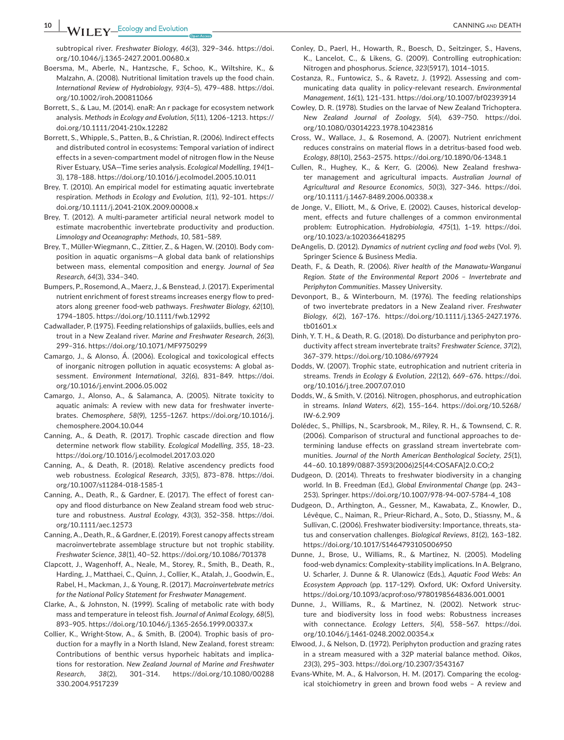**10 IDEATH**<br> **10 IDEATH**<br> **10 IDEATH**<br> **10 IDEATH** 

subtropical river. *Freshwater Biology*, *46*(3), 329–346. [https://doi.](https://doi.org/10.1046/j.1365-2427.2001.00680.x) [org/10.1046/j.1365-2427.2001.00680.x](https://doi.org/10.1046/j.1365-2427.2001.00680.x)

- Boersma, M., Aberle, N., Hantzsche, F., Schoo, K., Wiltshire, K., & Malzahn, A. (2008). Nutritional limitation travels up the food chain. *International Review of Hydrobiology*, *93*(4–5), 479–488. [https://doi.](https://doi.org/10.1002/iroh.200811066) [org/10.1002/iroh.200811066](https://doi.org/10.1002/iroh.200811066)
- Borrett, S., & Lau, M. (2014). enaR: An r package for ecosystem network analysis. *Methods in Ecology and Evolution*, *5*(11), 1206–1213. [https://](https://doi.org/10.1111/2041-210x.12282) [doi.org/10.1111/2041-210x.12282](https://doi.org/10.1111/2041-210x.12282)
- Borrett, S., Whipple, S., Patten, B., & Christian, R. (2006). Indirect effects and distributed control in ecosystems: Temporal variation of indirect effects in a seven-compartment model of nitrogen flow in the Neuse River Estuary, USA—Time series analysis. *Ecological Modelling*, *194*(1– 3), 178–188.<https://doi.org/10.1016/j.ecolmodel.2005.10.011>
- Brey, T. (2010). An empirical model for estimating aquatic invertebrate respiration. *Methods in Ecology and Evolution*, *1*(1), 92–101. [https://](https://doi.org/10.1111/j.2041-210X.2009.00008.x) [doi.org/10.1111/j.2041-210X.2009.00008.x](https://doi.org/10.1111/j.2041-210X.2009.00008.x)
- Brey, T. (2012). A multi-parameter artificial neural network model to estimate macrobenthic invertebrate productivity and production. *Limnology and Oceanography: Methods*, *10*, 581–589.
- Brey, T., Müller-Wiegmann, C., Zittier, Z., & Hagen, W. (2010). Body composition in aquatic organisms—A global data bank of relationships between mass, elemental composition and energy. *Journal of Sea Research*, *64*(3), 334–340.
- Bumpers, P., Rosemond, A., Maerz, J., & Benstead, J. (2017). Experimental nutrient enrichment of forest streams increases energy flow to predators along greener food-web pathways. *Freshwater Biology*, *62*(10), 1794–1805. <https://doi.org/10.1111/fwb.12992>
- Cadwallader, P. (1975). Feeding relationships of galaxiids, bullies, eels and trout in a New Zealand river. *Marine and Freshwater Research*, *26*(3), 299–316.<https://doi.org/10.1071/MF9750299>
- Camargo, J., & Alonso, Á. (2006). Ecological and toxicological effects of inorganic nitrogen pollution in aquatic ecosystems: A global assessment. *Environment International*, *32*(6), 831–849. [https://doi.](https://doi.org/10.1016/j.envint.2006.05.002) [org/10.1016/j.envint.2006.05.002](https://doi.org/10.1016/j.envint.2006.05.002)
- Camargo, J., Alonso, A., & Salamanca, A. (2005). Nitrate toxicity to aquatic animals: A review with new data for freshwater invertebrates. *Chemosphere*, *58*(9), 1255–1267. [https://doi.org/10.1016/j.](https://doi.org/10.1016/j.chemosphere.2004.10.044) [chemosphere.2004.10.044](https://doi.org/10.1016/j.chemosphere.2004.10.044)
- Canning, A., & Death, R. (2017). Trophic cascade direction and flow determine network flow stability. *Ecological Modelling*, *355*, 18–23. <https://doi.org/10.1016/j.ecolmodel.2017.03.020>
- Canning, A., & Death, R. (2018). Relative ascendency predicts food web robustness. *Ecological Research*, *33*(5), 873–878. [https://doi.](https://doi.org/10.1007/s11284-018-1585-1) [org/10.1007/s11284-018-1585-1](https://doi.org/10.1007/s11284-018-1585-1)
- Canning, A., Death, R., & Gardner, E. (2017). The effect of forest canopy and flood disturbance on New Zealand stream food web structure and robustness. *Austral Ecology*, *43*(3), 352–358. [https://doi.](https://doi.org/10.1111/aec.12573) [org/10.1111/aec.12573](https://doi.org/10.1111/aec.12573)
- Canning, A., Death, R., & Gardner, E. (2019). Forest canopy affects stream macroinvertebrate assemblage structure but not trophic stability. *Freshwater Science*, *38*(1), 40–52.<https://doi.org/10.1086/701378>
- Clapcott, J., Wagenhoff, A., Neale, M., Storey, R., Smith, B., Death, R., Harding, J., Matthaei, C., Quinn, J., Collier, K., Atalah, J., Goodwin, E., Rabel, H., Mackman, J., & Young, R. (2017). *Macroinvertebrate metrics for the National Policy Statement for Freshwater Management*.
- Clarke, A., & Johnston, N. (1999). Scaling of metabolic rate with body mass and temperature in teleost fish. *Journal of Animal Ecology*, *68*(5), 893–905. <https://doi.org/10.1046/j.1365-2656.1999.00337.x>
- Collier, K., Wright-Stow, A., & Smith, B. (2004). Trophic basis of production for a mayfly in a North Island, New Zealand, forest stream: Contributions of benthic versus hyporheic habitats and implications for restoration. *New Zealand Journal of Marine and Freshwater Research*, *38*(2), 301–314. [https://doi.org/10.1080/00288](https://doi.org/10.1080/00288330.2004.9517239) [330.2004.9517239](https://doi.org/10.1080/00288330.2004.9517239)
- Conley, D., Paerl, H., Howarth, R., Boesch, D., Seitzinger, S., Havens, K., Lancelot, C., & Likens, G. (2009). Controlling eutrophication: Nitrogen and phosphorus. *Science*, *323*(5917), 1014–1015.
- Costanza, R., Funtowicz, S., & Ravetz, J. (1992). Assessing and communicating data quality in policy-relevant research. *Environmental Management*, *16*(1), 121–131. <https://doi.org/10.1007/bf02393914>
- Cowley, D. R. (1978). Studies on the larvae of New Zealand Trichoptera. *New Zealand Journal of Zoology*, *5*(4), 639–750. [https://doi.](https://doi.org/10.1080/03014223.1978.10423816) [org/10.1080/03014223.1978.10423816](https://doi.org/10.1080/03014223.1978.10423816)
- Cross, W., Wallace, J., & Rosemond, A. (2007). Nutrient enrichment reduces constrains on material flows in a detritus-based food web. *Ecology*, *88*(10), 2563–2575.<https://doi.org/10.1890/06-1348.1>
- Cullen, R., Hughey, K., & Kerr, G. (2006). New Zealand freshwater management and agricultural impacts. *Australian Journal of Agricultural and Resource Economics*, *50*(3), 327–346. [https://doi.](https://doi.org/10.1111/j.1467-8489.2006.00338.x) [org/10.1111/j.1467-8489.2006.00338.x](https://doi.org/10.1111/j.1467-8489.2006.00338.x)
- de Jonge, V., Elliott, M., & Orive, E. (2002). Causes, historical development, effects and future challenges of a common environmental problem: Eutrophication. *Hydrobiologia*, *475*(1), 1–19. [https://doi.](https://doi.org/10.1023/a:1020366418295) [org/10.1023/a:1020366418295](https://doi.org/10.1023/a:1020366418295)
- DeAngelis, D. (2012). *Dynamics of nutrient cycling and food webs* (Vol. *9*). Springer Science & Business Media.
- Death, F., & Death, R. (2006). *River health of the Manawatu-Wanganui Region. State of the Environmental Report 2006 – Invertebrate and Periphyton Communities*. Massey University.
- Devonport, B., & Winterbourn, M. (1976). The feeding relationships of two invertebrate predators in a New Zealand river. *Freshwater Biology*, *6*(2), 167–176. [https://doi.org/10.1111/j.1365-2427.1976.](https://doi.org/10.1111/j.1365-2427.1976.tb01601.x) [tb01601.x](https://doi.org/10.1111/j.1365-2427.1976.tb01601.x)
- Dinh, Y. T. H., & Death, R. G. (2018). Do disturbance and periphyton productivity affect stream invertebrate traits? *Freshwater Science*, *37*(2), 367–379. <https://doi.org/10.1086/697924>
- Dodds, W. (2007). Trophic state, eutrophication and nutrient criteria in streams. *Trends in Ecology & Evolution*, *22*(12), 669–676. [https://doi.](https://doi.org/10.1016/j.tree.2007.07.010) [org/10.1016/j.tree.2007.07.010](https://doi.org/10.1016/j.tree.2007.07.010)
- Dodds, W., & Smith, V. (2016). Nitrogen, phosphorus, and eutrophication in streams. *Inland Waters*, *6*(2), 155–164. [https://doi.org/10.5268/](https://doi.org/10.5268/IW-6.2.909) [IW-6.2.909](https://doi.org/10.5268/IW-6.2.909)
- Dolédec, S., Phillips, N., Scarsbrook, M., Riley, R. H., & Townsend, C. R. (2006). Comparison of structural and functional approaches to determining landuse effects on grassland stream invertebrate communities. *Journal of the North American Benthological Society*, *25*(1), 44–60. 10.1899/0887-3593(2006)25[44:COSAFA]2.0.CO;2
- Dudgeon, D. (2014). Threats to freshwater biodiversity in a changing world. In B. Freedman (Ed.), *Global Environmental Change* (pp. 243– 253). Springer. [https://doi.org/10.1007/978-94-007-5784-4\\_108](https://doi.org/10.1007/978-94-007-5784-4_108)
- Dudgeon, D., Arthington, A., Gessner, M., Kawabata, Z., Knowler, D., Lévêque, C., Naiman, R., Prieur-Richard, A., Soto, D., Stiassny, M., & Sullivan, C. (2006). Freshwater biodiversity: Importance, threats, status and conservation challenges. *Biological Reviews*, *81*(2), 163–182. <https://doi.org/10.1017/S1464793105006950>
- Dunne, J., Brose, U., Williams, R., & Martinez, N. (2005). Modeling food-web dynamics: Complexity-stability implications. In A. Belgrano, U. Scharler, J. Dunne & R. Ulanowicz (Eds.), *Aquatic Food Webs: An Ecosystem Approach* (pp. 117–129). Oxford, UK: Oxford University. <https://doi.org/10.1093/acprof:oso/9780198564836.001.0001>
- Dunne, J., Williams, R., & Martinez, N. (2002). Network structure and biodiversity loss in food webs: Robustness increases with connectance. *Ecology Letters*, *5*(4), 558–567. [https://doi.](https://doi.org/10.1046/j.1461-0248.2002.00354.x) [org/10.1046/j.1461-0248.2002.00354.x](https://doi.org/10.1046/j.1461-0248.2002.00354.x)
- Elwood, J., & Nelson, D. (1972). Periphyton production and grazing rates in a stream measured with a 32P material balance method. *Oikos*, *23*(3), 295–303. <https://doi.org/10.2307/3543167>
- Evans-White, M. A., & Halvorson, H. M. (2017). Comparing the ecological stoichiometry in green and brown food webs – A review and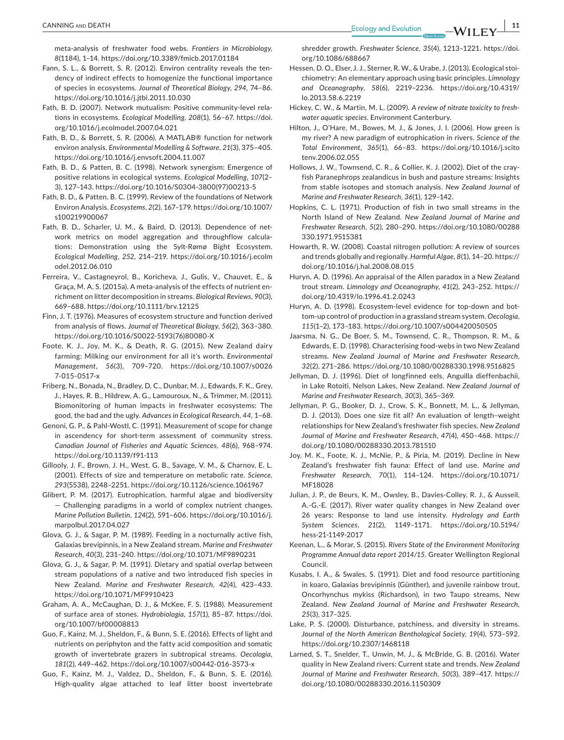meta-analysis of freshwater food webs. *Frontiers in Microbiology*, *8*(1184), 1–14.<https://doi.org/10.3389/fmicb.2017.01184>

- Fann, S. L., & Borrett, S. R. (2012). Environ centrality reveals the tendency of indirect effects to homogenize the functional importance of species in ecosystems. *Journal of Theoretical Biology*, *294*, 74–86. <https://doi.org/10.1016/j.jtbi.2011.10.030>
- Fath, B. D. (2007). Network mutualism: Positive community-level relations in ecosystems. *Ecological Modelling*, *208*(1), 56–67. [https://doi.](https://doi.org/10.1016/j.ecolmodel.2007.04.021) [org/10.1016/j.ecolmodel.2007.04.021](https://doi.org/10.1016/j.ecolmodel.2007.04.021)
- Fath, B. D., & Borrett, S. R. (2006). A MATLAB® function for network environ analysis. *Environmental Modelling & Software*, *21*(3), 375–405. <https://doi.org/10.1016/j.envsoft.2004.11.007>
- Fath, B. D., & Patten, B. C. (1998). Network synergism: Emergence of positive relations in ecological systems. *Ecological Modelling*, *107*(2– 3), 127–143. [https://doi.org/10.1016/S0304-3800\(97\)00213-5](https://doi.org/10.1016/S0304-3800(97)00213-5)
- Fath, B. D., & Patten, B. C. (1999). Review of the foundations of Network Environ Analysis. *Ecosystems*, *2*(2), 167–179. [https://doi.org/10.1007/](https://doi.org/10.1007/s100219900067) [s100219900067](https://doi.org/10.1007/s100219900067)
- Fath, B. D., Scharler, U. M., & Baird, D. (2013). Dependence of network metrics on model aggregation and throughflow calculations: Demonstration using the Sylt-Rømø Bight Ecosystem. *Ecological Modelling*, *252*, 214–219. [https://doi.org/10.1016/j.ecolm](https://doi.org/10.1016/j.ecolmodel.2012.06.010) [odel.2012.06.010](https://doi.org/10.1016/j.ecolmodel.2012.06.010)
- Ferreira, V., Castagneyrol, B., Koricheva, J., Gulis, V., Chauvet, E., & Graça, M. A. S. (2015a). A meta-analysis of the effects of nutrient enrichment on litter decomposition in streams. *Biological Reviews*, *90*(3), 669–688.<https://doi.org/10.1111/brv.12125>
- Finn, J. T. (1976). Measures of ecosystem structure and function derived from analysis of flows. *Journal of Theoretical Biology*, *56*(2), 363–380. [https://doi.org/10.1016/S0022-5193\(76\)80080-X](https://doi.org/10.1016/S0022-5193(76)80080-X)
- Foote, K. J., Joy, M. K., & Death, R. G. (2015). New Zealand dairy farming: Milking our environment for all it's worth. *Environmental Management*, *56*(3), 709–720. [https://doi.org/10.1007/s0026](https://doi.org/10.1007/s00267-015-0517-x) [7-015-0517-x](https://doi.org/10.1007/s00267-015-0517-x)
- Friberg, N., Bonada, N., Bradley, D. C., Dunbar, M. J., Edwards, F. K., Grey, J., Hayes, R. B., Hildrew, A. G., Lamouroux, N., & Trimmer, M. (2011). Biomonitoring of human impacts in freshwater ecosystems: The good, the bad and the ugly. *Advances in Ecological Research*, *44*, 1–68.
- Genoni, G. P., & Pahl-Wostl, C. (1991). Measurement of scope for change in ascendency for short-term assessment of community stress. *Canadian Journal of Fisheries and Aquatic Sciences*, *48*(6), 968–974. <https://doi.org/10.1139/f91-113>
- Gillooly, J. F., Brown, J. H., West, G. B., Savage, V. M., & Charnov, E. L. (2001). Effects of size and temperature on metabolic rate. *Science*, *293*(5538), 2248–2251. <https://doi.org/10.1126/science.1061967>
- Glibert, P. M. (2017). Eutrophication, harmful algae and biodiversity — Challenging paradigms in a world of complex nutrient changes. *Marine Pollution Bulletin*, *124*(2), 591–606. [https://doi.org/10.1016/j.](https://doi.org/10.1016/j.marpolbul.2017.04.027) [marpolbul.2017.04.027](https://doi.org/10.1016/j.marpolbul.2017.04.027)
- Glova, G. J., & Sagar, P. M. (1989). Feeding in a nocturnally active fish, Galaxias brevipinnis, in a New Zealand stream. *Marine and Freshwater Research*, *40*(3), 231–240.<https://doi.org/10.1071/MF9890231>
- Glova, G. J., & Sagar, P. M. (1991). Dietary and spatial overlap between stream populations of a native and two introduced fish species in New Zealand. *Marine and Freshwater Research*, *42*(4), 423–433. <https://doi.org/10.1071/MF9910423>
- Graham, A. A., McCaughan, D. J., & McKee, F. S. (1988). Measurement of surface area of stones. *Hydrobiologia*, *157*(1), 85–87. [https://doi.](https://doi.org/10.1007/bf00008813) [org/10.1007/bf00008813](https://doi.org/10.1007/bf00008813)
- Guo, F., Kainz, M. J., Sheldon, F., & Bunn, S. E. (2016). Effects of light and nutrients on periphyton and the fatty acid composition and somatic growth of invertebrate grazers in subtropical streams. *Oecologia*, *181*(2), 449–462.<https://doi.org/10.1007/s00442-016-3573-x>
- Guo, F., Kainz, M. J., Valdez, D., Sheldon, F., & Bunn, S. E. (2016). High-quality algae attached to leaf litter boost invertebrate

shredder growth. *Freshwater Science*, *35*(4), 1213–1221. [https://doi.](https://doi.org/10.1086/688667) [org/10.1086/688667](https://doi.org/10.1086/688667)

- Hessen, D. O., Elser, J. J., Sterner, R. W., & Urabe, J. (2013). Ecological stoichiometry: An elementary approach using basic principles. *Limnology and Oceanography*, *58*(6), 2219–2236. [https://doi.org/10.4319/](https://doi.org/10.4319/lo.2013.58.6.2219) [lo.2013.58.6.2219](https://doi.org/10.4319/lo.2013.58.6.2219)
- Hickey, C. W., & Martin, M. L. (2009). *A review of nitrate toxicity to freshwater aquatic species*. Environment Canterbury.
- Hilton, J., O'Hare, M., Bowes, M. J., & Jones, J. I. (2006). How green is my river? A new paradigm of eutrophication in rivers. *Science of the Total Environment*, *365*(1), 66–83. [https://doi.org/10.1016/j.scito](https://doi.org/10.1016/j.scitotenv.2006.02.055) [tenv.2006.02.055](https://doi.org/10.1016/j.scitotenv.2006.02.055)
- Hollows, J. W., Townsend, C. R., & Collier, K. J. (2002). Diet of the crayfish Paranephrops zealandicus in bush and pasture streams: Insights from stable isotopes and stomach analysis. *New Zealand Journal of Marine and Freshwater Research*, *36*(1), 129–142.
- Hopkins, C. L. (1971). Production of fish in two small streams in the North Island of New Zealand. *New Zealand Journal of Marine and Freshwater Research*, *5*(2), 280–290. [https://doi.org/10.1080/00288](https://doi.org/10.1080/00288330.1971.9515381) [330.1971.9515381](https://doi.org/10.1080/00288330.1971.9515381)
- Howarth, R. W. (2008). Coastal nitrogen pollution: A review of sources and trends globally and regionally. *Harmful Algae*, *8*(1), 14–20. [https://](https://doi.org/10.1016/j.hal.2008.08.015) [doi.org/10.1016/j.hal.2008.08.015](https://doi.org/10.1016/j.hal.2008.08.015)
- Huryn, A. D. (1996). An appraisal of the Allen paradox in a New Zealand trout stream. *Limnology and Oceanography*, *41*(2), 243–252. [https://](https://doi.org/10.4319/lo.1996.41.2.0243) [doi.org/10.4319/lo.1996.41.2.0243](https://doi.org/10.4319/lo.1996.41.2.0243)
- Huryn, A. D. (1998). Ecosystem-level evidence for top-down and bottom-up control of production in a grassland stream system. *Oecologia*, *115*(1–2), 173–183. <https://doi.org/10.1007/s004420050505>
- Jaarsma, N. G., De Boer, S. M., Townsend, C. R., Thompson, R. M., & Edwards, E. D. (1998). Characterising food-webs in two New Zealand streams. *New Zealand Journal of Marine and Freshwater Research*, *32*(2), 271–286. <https://doi.org/10.1080/00288330.1998.9516825>
- Jellyman, D. J. (1996). Diet of longfinned eels, Anguilla dieffenbachii, in Lake Rotoiti, Nelson Lakes, New Zealand. *New Zealand Journal of Marine and Freshwater Research*, *30*(3), 365–369.
- Jellyman, P. G., Booker, D. J., Crow, S. K., Bonnett, M. L., & Jellyman, D. J. (2013). Does one size fit all? An evaluation of length–weight relationships for New Zealand's freshwater fish species. *New Zealand Journal of Marine and Freshwater Research*, *47*(4), 450–468. [https://](https://doi.org/10.1080/00288330.2013.781510) [doi.org/10.1080/00288330.2013.781510](https://doi.org/10.1080/00288330.2013.781510)
- Joy, M. K., Foote, K. J., McNie, P., & Piria, M. (2019). Decline in New Zealand's freshwater fish fauna: Effect of land use. *Marine and Freshwater Research*, *70*(1), 114–124. [https://doi.org/10.1071/](https://doi.org/10.1071/MF18028) [MF18028](https://doi.org/10.1071/MF18028)
- Julian, J. P., de Beurs, K. M., Owsley, B., Davies-Colley, R. J., & Ausseil, A.-G.-E. (2017). River water quality changes in New Zealand over 26 years: Response to land use intensity. *Hydrology and Earth System Sciences*, *21*(2), 1149–1171. [https://doi.org/10.5194/](https://doi.org/10.5194/hess-21-1149-2017) [hess-21-1149-2017](https://doi.org/10.5194/hess-21-1149-2017)
- Keenan, L., & Morar, S. (2015). *Rivers State of the Environment Monitoring Programme Annual data report 2014/15*. Greater Wellington Regional Council.
- Kusabs, I. A., & Swales, S. (1991). Diet and food resource partitioning in koaro, Galaxias brevipinnis (Günther), and juvenile rainbow trout, Oncorhynchus mykiss (Richardson), in two Taupo streams, New Zealand. *New Zealand Journal of Marine and Freshwater Research*, *25*(3), 317–325.
- Lake, P. S. (2000). Disturbance, patchiness, and diversity in streams. *Journal of the North American Benthological Society*, *19*(4), 573–592. <https://doi.org/10.2307/1468118>
- Larned, S. T., Snelder, T., Unwin, M. J., & McBride, G. B. (2016). Water quality in New Zealand rivers: Current state and trends. *New Zealand Journal of Marine and Freshwater Research*, *50*(3), 389–417. [https://](https://doi.org/10.1080/00288330.2016.1150309) [doi.org/10.1080/00288330.2016.1150309](https://doi.org/10.1080/00288330.2016.1150309)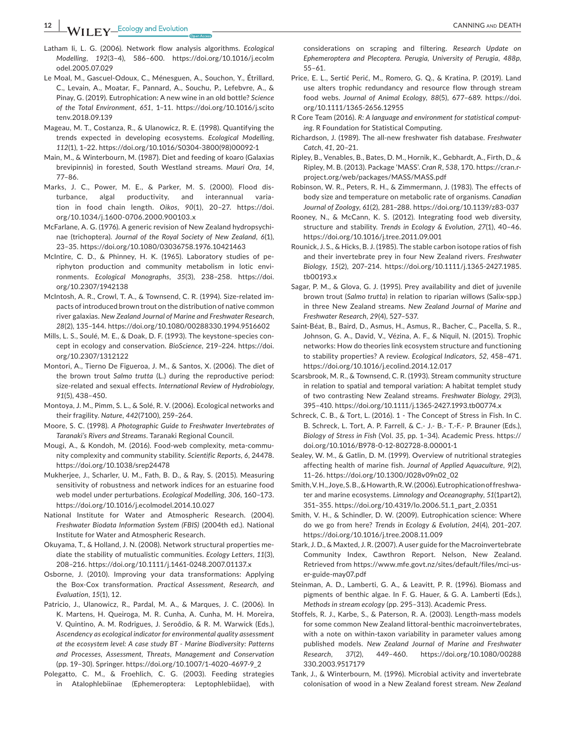**12 12 I IF Y** LECology and Evolution <u>CANNING and DEATH CANNING and DEATH CANNING and DEATH CANNING and DEATH</u>

- Latham Ii, L. G. (2006). Network flow analysis algorithms. *Ecological Modelling*, *192*(3–4), 586–600. [https://doi.org/10.1016/j.ecolm](https://doi.org/10.1016/j.ecolmodel.2005.07.029) [odel.2005.07.029](https://doi.org/10.1016/j.ecolmodel.2005.07.029)
- Le Moal, M., Gascuel-Odoux, C., Ménesguen, A., Souchon, Y., Étrillard, C., Levain, A., Moatar, F., Pannard, A., Souchu, P., Lefebvre, A., & Pinay, G. (2019). Eutrophication: A new wine in an old bottle? *Science of the Total Environment*, *651*, 1–11. [https://doi.org/10.1016/j.scito](https://doi.org/10.1016/j.scitotenv.2018.09.139) [tenv.2018.09.139](https://doi.org/10.1016/j.scitotenv.2018.09.139)
- Mageau, M. T., Costanza, R., & Ulanowicz, R. E. (1998). Quantifying the trends expected in developing ecosystems. *Ecological Modelling*, *112*(1), 1–22. [https://doi.org/10.1016/S0304-3800\(98\)00092-1](https://doi.org/10.1016/S0304-3800(98)00092-1)
- Main, M., & Winterbourn, M. (1987). Diet and feeding of koaro (Galaxias brevipinnis) in forested, South Westland streams. *Mauri Ora*, *14*, 77–86.
- Marks, J. C., Power, M. E., & Parker, M. S. (2000). Flood disturbance, algal productivity, and interannual variation in food chain length. *Oikos*, *90*(1), 20–27. [https://doi.](https://doi.org/10.1034/j.1600-0706.2000.900103.x) [org/10.1034/j.1600-0706.2000.900103.x](https://doi.org/10.1034/j.1600-0706.2000.900103.x)
- McFarlane, A. G. (1976). A generic revision of New Zealand hydropsychinae (trichoptera). *Journal of the Royal Society of New Zealand*, *6*(1), 23–35. <https://doi.org/10.1080/03036758.1976.10421463>
- McIntire, C. D., & Phinney, H. K. (1965). Laboratory studies of periphyton production and community metabolism in lotic environments. *Ecological Monographs*, *35*(3), 238–258. [https://doi.](https://doi.org/10.2307/1942138) [org/10.2307/1942138](https://doi.org/10.2307/1942138)
- McIntosh, A. R., Crowl, T. A., & Townsend, C. R. (1994). Size-related impacts of introduced brown trout on the distribution of native common river galaxias. *New Zealand Journal of Marine and Freshwater Research*, *28*(2), 135–144.<https://doi.org/10.1080/00288330.1994.9516602>
- Mills, L. S., Soulé, M. E., & Doak, D. F. (1993). The keystone-species concept in ecology and conservation. *BioScience*, 219–224. [https://doi.](https://doi.org/10.2307/1312122) [org/10.2307/1312122](https://doi.org/10.2307/1312122)
- Montori, A., Tierno De Figueroa, J. M., & Santos, X. (2006). The diet of the brown trout *Salmo trutta* (L.) during the reproductive period: size-related and sexual effects. *International Review of Hydrobiology*, *91*(5), 438–450.
- Montoya, J. M., Pimm, S. L., & Solé, R. V. (2006). Ecological networks and their fragility. *Nature*, *442*(7100), 259–264.
- Moore, S. C. (1998). *A Photographic Guide to Freshwater Invertebrates of Taranaki's Rivers and Streams*. Taranaki Regional Council.
- Mougi, A., & Kondoh, M. (2016). Food-web complexity, meta-community complexity and community stability. *Scientific Reports*, *6*, 24478. <https://doi.org/10.1038/srep24478>
- Mukherjee, J., Scharler, U. M., Fath, B. D., & Ray, S. (2015). Measuring sensitivity of robustness and network indices for an estuarine food web model under perturbations. *Ecological Modelling*, *306*, 160–173. <https://doi.org/10.1016/j.ecolmodel.2014.10.027>
- National Institute for Water and Atmospheric Research. (2004). *Freshwater Biodata Information System (FBIS)* (2004th ed.). National Institute for Water and Atmospheric Research.
- Okuyama, T., & Holland, J. N. (2008). Network structural properties mediate the stability of mutualistic communities. *Ecology Letters*, *11*(3), 208–216. <https://doi.org/10.1111/j.1461-0248.2007.01137.x>
- Osborne, J. (2010). Improving your data transformations: Applying the Box-Cox transformation. *Practical Assessment, Research, and Evaluation*, *15*(1), 12.
- Patricio, J., Ulanowicz, R., Pardal, M. A., & Marques, J. C. (2006). In K. Martens, H. Queiroga, M. R. Cunha, A. Cunha, M. H. Moreira, V. Quintino, A. M. Rodrigues, J. Seroôdio, & R. M. Warwick (Eds.), *Ascendency as ecological indicator for environmental quality assessment at the ecosystem level: A case study BT - Marine Biodiversity: Patterns and Processes, Assessment, Threats, Management and Conservation* (pp. 19–30). Springer. [https://doi.org/10.1007/1-4020-4697-9\\_2](https://doi.org/10.1007/1-4020-4697-9_2)
- Polegatto, C. M., & Froehlich, C. G. (2003). Feeding strategies in Atalophlebiinae (Ephemeroptera: Leptophlebiidae), with

considerations on scraping and filtering. *Research Update on Ephemeroptera and Plecoptera. Perugia, University of Perugia*, *488p*, 55–61.

- Price, E. L., Sertić Perić, M., Romero, G. Q., & Kratina, P. (2019). Land use alters trophic redundancy and resource flow through stream food webs. *Journal of Animal Ecology*, *88*(5), 677–689. [https://doi.](https://doi.org/10.1111/1365-2656.12955) [org/10.1111/1365-2656.12955](https://doi.org/10.1111/1365-2656.12955)
- R Core Team (2016). *R: A language and environment for statistical computing*. R Foundation for Statistical Computing.
- Richardson, J. (1989). The all-new freshwater fish database. *Freshwater Catch*, *41*, 20–21.
- Ripley, B., Venables, B., Bates, D. M., Hornik, K., Gebhardt, A., Firth, D., & Ripley, M. B. (2013). Package 'MASS'. *Cran R*, *538*, 170. [https://cran.r](https://cran.r-project.org/web/packages/MASS/MASS.pdf)[project.org/web/packages/MASS/MASS.pdf](https://cran.r-project.org/web/packages/MASS/MASS.pdf)
- Robinson, W. R., Peters, R. H., & Zimmermann, J. (1983). The effects of body size and temperature on metabolic rate of organisms. *Canadian Journal of Zoology*, *61*(2), 281–288. <https://doi.org/10.1139/z83-037>
- Rooney, N., & McCann, K. S. (2012). Integrating food web diversity, structure and stability. *Trends in Ecology & Evolution*, *27*(1), 40–46. <https://doi.org/10.1016/j.tree.2011.09.001>
- Rounick, J. S., & Hicks, B. J. (1985). The stable carbon isotope ratios of fish and their invertebrate prey in four New Zealand rivers. *Freshwater Biology*, *15*(2), 207–214. [https://doi.org/10.1111/j.1365-2427.1985.](https://doi.org/10.1111/j.1365-2427.1985.tb00193.x) [tb00193.x](https://doi.org/10.1111/j.1365-2427.1985.tb00193.x)
- Sagar, P. M., & Glova, G. J. (1995). Prey availability and diet of juvenile brown trout (*Salmo trutta*) in relation to riparian willows (Salix-spp.) in three New Zealand streams. *New Zealand Journal of Marine and Freshwater Research*, *29*(4), 527–537.
- Saint-Béat, B., Baird, D., Asmus, H., Asmus, R., Bacher, C., Pacella, S. R., Johnson, G. A., David, V., Vézina, A. F., & Niquil, N. (2015). Trophic networks: How do theories link ecosystem structure and functioning to stability properties? A review. *Ecological Indicators*, *52*, 458–471. <https://doi.org/10.1016/j.ecolind.2014.12.017>
- Scarsbrook, M. R., & Townsend, C. R. (1993). Stream community structure in relation to spatial and temporal variation: A habitat templet study of two contrasting New Zealand streams. *Freshwater Biology*, *29*(3), 395–410. <https://doi.org/10.1111/j.1365-2427.1993.tb00774.x>
- Schreck, C. B., & Tort, L. (2016). 1 The Concept of Stress in Fish. In C. B. Schreck, L. Tort, A. P. Farrell, & C.- J.- B.- T.-F.- P. Brauner (Eds.), *Biology of Stress in Fish* (Vol. *35*, pp. 1–34). Academic Press. [https://](https://doi.org/10.1016/B978-0-12-802728-8.00001-1) [doi.org/10.1016/B978-0-12-802728-8.00001-1](https://doi.org/10.1016/B978-0-12-802728-8.00001-1)
- Sealey, W. M., & Gatlin, D. M. (1999). Overview of nutritional strategies affecting health of marine fish. *Journal of Applied Aquaculture*, *9*(2), 11–26. [https://doi.org/10.1300/J028v09n02\\_02](https://doi.org/10.1300/J028v09n02_02)
- Smith, V. H., Joye, S. B., & Howarth, R. W. (2006). Eutrophication of freshwater and marine ecosystems. *Limnology and Oceanography*, *51*(1part2), 351–355. [https://doi.org/10.4319/lo.2006.51.1\\_part\\_2.0351](https://doi.org/10.4319/lo.2006.51.1_part_2.0351)
- Smith, V. H., & Schindler, D. W. (2009). Eutrophication science: Where do we go from here? *Trends in Ecology & Evolution*, *24*(4), 201–207. <https://doi.org/10.1016/j.tree.2008.11.009>
- Stark, J. D., & Maxted, J. R. (2007). A user guide for the Macroinvertebrate Community Index, Cawthron Report. Nelson, New Zealand. Retrieved from [https://www.mfe.govt.nz/sites/default/files/mci-us](https://www.mfe.govt.nz/sites/default/files/mci-user-guide-may07.pdf)[er-guide-may07.pdf](https://www.mfe.govt.nz/sites/default/files/mci-user-guide-may07.pdf)
- Steinman, A. D., Lamberti, G. A., & Leavitt, P. R. (1996). Biomass and pigments of benthic algae. In F. G. Hauer, & G. A. Lamberti (Eds.), *Methods in stream ecology* (pp. 295–313). Academic Press.
- Stoffels, R. J., Karbe, S., & Paterson, R. A. (2003). Length-mass models for some common New Zealand littoral-benthic macroinvertebrates, with a note on within-taxon variability in parameter values among published models. *New Zealand Journal of Marine and Freshwater Research*, *37*(2), 449–460. [https://doi.org/10.1080/00288](https://doi.org/10.1080/00288330.2003.9517179) [330.2003.9517179](https://doi.org/10.1080/00288330.2003.9517179)
- Tank, J., & Winterbourn, M. (1996). Microbial activity and invertebrate colonisation of wood in a New Zealand forest stream. *New Zealand*